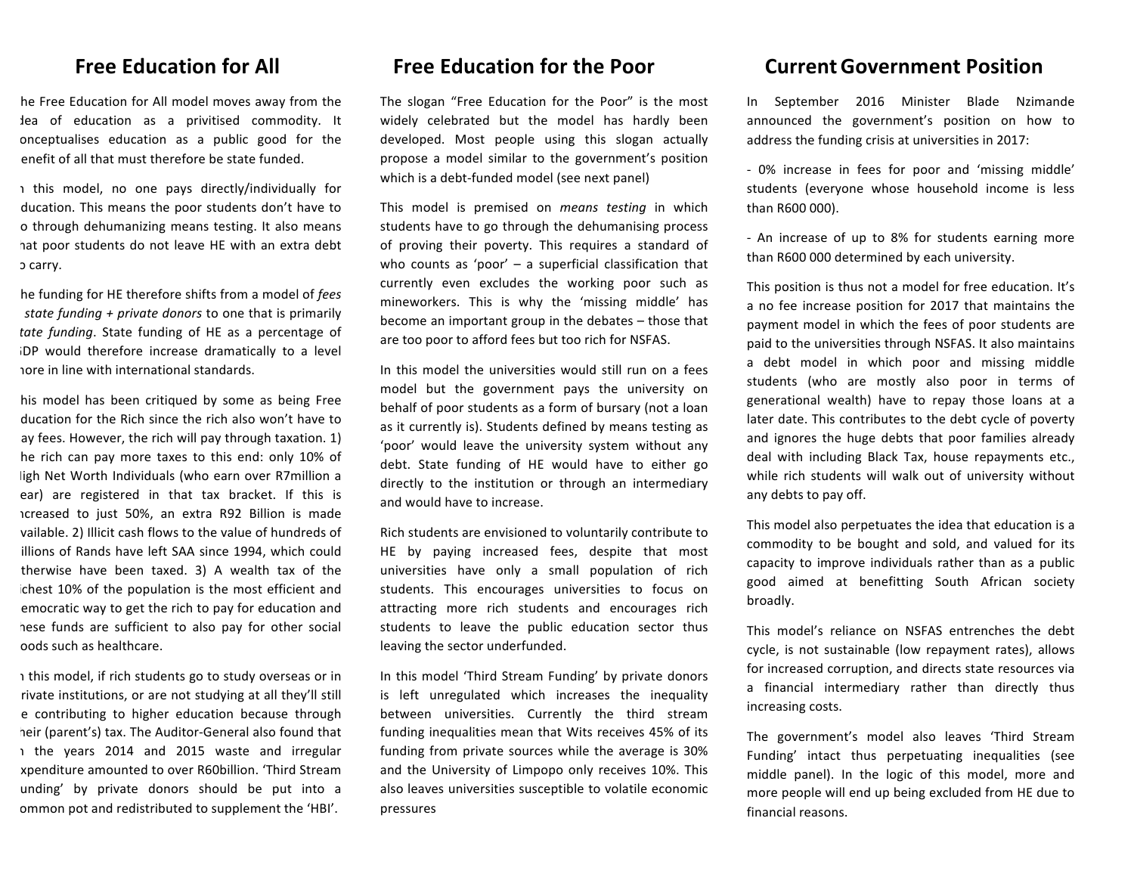## **Free Education for All**

he Free Education for All model moves away from the lea of education as a privitised commodity. It conceptualises education as a public good for the enefit of all that must therefore be state funded.

1 this model, no one pays directly/individually for ducation. This means the poor students don't have to o through dehumanizing means testing. It also means hat poor students do not leave HE with an extra debt b carry.

he funding for HE therefore shifts from a model of *fees state funding + private donors* to one that is primarily tate funding. State funding of HE as a percentage of iDP would therefore increase dramatically to a level hore in line with international standards.

his model has been critiqued by some as being Free ducation for the Rich since the rich also won't have to av fees. However, the rich will pay through taxation. 1) he rich can pay more taxes to this end: only 10% of ligh Net Worth Individuals (who earn over R7million a ear) are registered in that tax bracket. If this is icreased to just 50%, an extra R92 Billion is made vailable. 2) Illicit cash flows to the value of hundreds of illions of Rands have left SAA since 1994, which could therwise have been taxed.  $3)$  A wealth tax of the ichest 10% of the population is the most efficient and emocratic way to get the rich to pay for education and hese funds are sufficient to also pay for other social goods such as healthcare.

1 this model, if rich students go to study overseas or in rivate institutions, or are not studying at all they'll still e contributing to higher education because through heir (parent's) tax. The Auditor-General also found that 1 the years 2014 and 2015 waste and irregular xpenditure amounted to over R60billion. 'Third Stream unding' by private donors should be put into a ommon pot and redistributed to supplement the 'HBI'.

### **Free Education for the Poor**

The slogan "Free Education for the Poor" is the most widely celebrated but the model has hardly been developed. Most people using this slogan actually propose a model similar to the government's position which is a debt-funded model (see next panel)

This model is premised on *means testing* in which students have to go through the dehumanising process of proving their poverty. This requires a standard of who counts as 'poor'  $-$  a superficial classification that currently even excludes the working poor such as mineworkers. This is why the 'missing middle' has become an important group in the debates  $-$  those that are too poor to afford fees but too rich for NSFAS.

In this model the universities would still run on a fees model but the government pays the university on behalf of poor students as a form of bursary (not a loan as it currently is). Students defined by means testing as 'poor' would leave the university system without any debt. State funding of HE would have to either go directly to the institution or through an intermediary and would have to increase.

Rich students are envisioned to voluntarily contribute to HE by paying increased fees, despite that most universities have only a small population of rich students. This encourages universities to focus on attracting more rich students and encourages rich students to leave the public education sector thus leaving the sector underfunded.

In this model 'Third Stream Funding' by private donors is left unregulated which increases the inequality between universities. Currently the third stream funding inequalities mean that Wits receives 45% of its funding from private sources while the average is 30% and the University of Limpopo only receives 10%. This also leaves universities susceptible to volatile economic pressures

### **Current Government Position**

In September 2016 Minister Blade Nzimande announced the government's position on how to address the funding crisis at universities in 2017:

- 0% increase in fees for poor and 'missing middle' students (everyone whose household income is less than R600 000).

- An increase of up to 8% for students earning more than R600 000 determined by each university.

This position is thus not a model for free education. It's a no fee increase position for 2017 that maintains the payment model in which the fees of poor students are paid to the universities through NSFAS. It also maintains a debt model in which poor and missing middle students (who are mostly also poor in terms of generational wealth) have to repay those loans at a later date. This contributes to the debt cycle of poverty and ignores the huge debts that poor families already deal with including Black Tax, house repayments etc., while rich students will walk out of university without any debts to pay off.

This model also perpetuates the idea that education is a commodity to be bought and sold, and valued for its capacity to improve individuals rather than as a public good aimed at benefitting South African society broadly. 

This model's reliance on NSFAS entrenches the debt cycle, is not sustainable (low repayment rates), allows for increased corruption, and directs state resources via a financial intermediary rather than directly thus increasing costs.

The government's model also leaves 'Third Stream Funding' intact thus perpetuating inequalities (see middle panel). In the logic of this model, more and more people will end up being excluded from HE due to financial reasons.